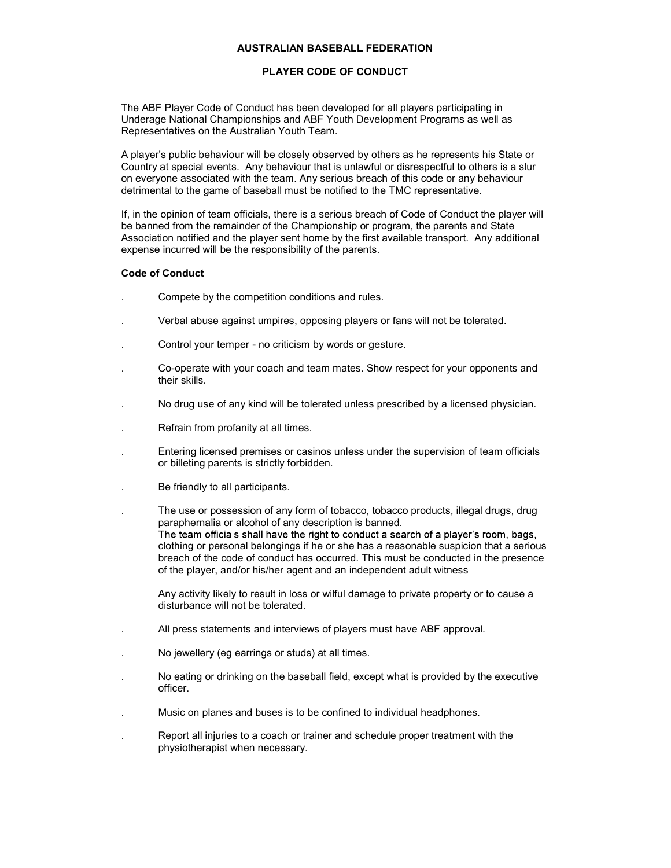## AUSTRALIAN BASEBALL FEDERATION

### PLAYER CODE OF CONDUCT

The ABF Player Code of Conduct has been developed for all players participating in Underage National Championships and ABF Youth Development Programs as well as Representatives on the Australian Youth Team.

A player's public behaviour will be closely observed by others as he represents his State or Country at special events. Any behaviour that is unlawful or disrespectful to others is a slur on everyone associated with the team. Any serious breach of this code or any behaviour detrimental to the game of baseball must be notified to the TMC representative.

If, in the opinion of team officials, there is a serious breach of Code of Conduct the player will be banned from the remainder of the Championship or program, the parents and State Association notified and the player sent home by the first available transport. Any additional expense incurred will be the responsibility of the parents.

#### Code of Conduct

- . Compete by the competition conditions and rules.
- . Verbal abuse against umpires, opposing players or fans will not be tolerated.
- . Control your temper no criticism by words or gesture.
- . Co-operate with your coach and team mates. Show respect for your opponents and their skills.
- . No drug use of any kind will be tolerated unless prescribed by a licensed physician.
- . Refrain from profanity at all times.
- . Entering licensed premises or casinos unless under the supervision of team officials or billeting parents is strictly forbidden.
- . Be friendly to all participants.
- . The use or possession of any form of tobacco, tobacco products, illegal drugs, drug paraphernalia or alcohol of any description is banned. The team officials shall have the right to conduct a search of a player's room, bags, clothing or personal belongings if he or she has a reasonable suspicion that a serious breach of the code of conduct has occurred. This must be conducted in the presence of the player, and/or his/her agent and an independent adult witness

Any activity likely to result in loss or wilful damage to private property or to cause a disturbance will not be tolerated.

- . All press statements and interviews of players must have ABF approval.
- . No jewellery (eg earrings or studs) at all times.
- . No eating or drinking on the baseball field, except what is provided by the executive officer.
- . Music on planes and buses is to be confined to individual headphones.
- . Report all injuries to a coach or trainer and schedule proper treatment with the physiotherapist when necessary.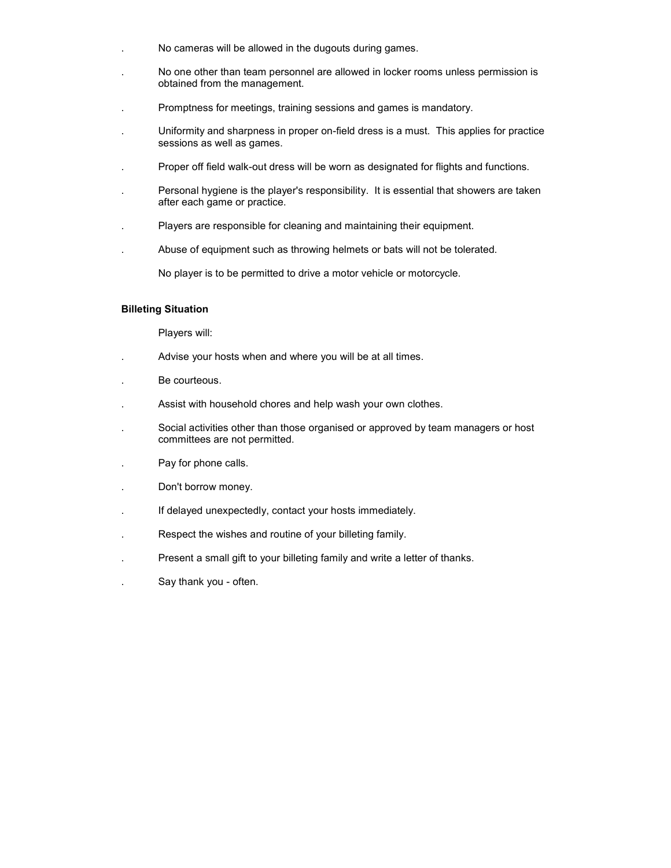- . No cameras will be allowed in the dugouts during games.
- . No one other than team personnel are allowed in locker rooms unless permission is obtained from the management.
- . Promptness for meetings, training sessions and games is mandatory.
- . Uniformity and sharpness in proper on-field dress is a must. This applies for practice sessions as well as games.
- . Proper off field walk-out dress will be worn as designated for flights and functions.
- . Personal hygiene is the player's responsibility. It is essential that showers are taken after each game or practice.
- . Players are responsible for cleaning and maintaining their equipment.
- . Abuse of equipment such as throwing helmets or bats will not be tolerated.

No player is to be permitted to drive a motor vehicle or motorcycle.

#### Billeting Situation

Players will:

- . Advise your hosts when and where you will be at all times.
- . Be courteous.
- . Assist with household chores and help wash your own clothes.
- . Social activities other than those organised or approved by team managers or host committees are not permitted.
- . Pay for phone calls.
- . Don't borrow money.
- . If delayed unexpectedly, contact your hosts immediately.
- . Respect the wishes and routine of your billeting family.
- . Present a small gift to your billeting family and write a letter of thanks.
- . Say thank you often.